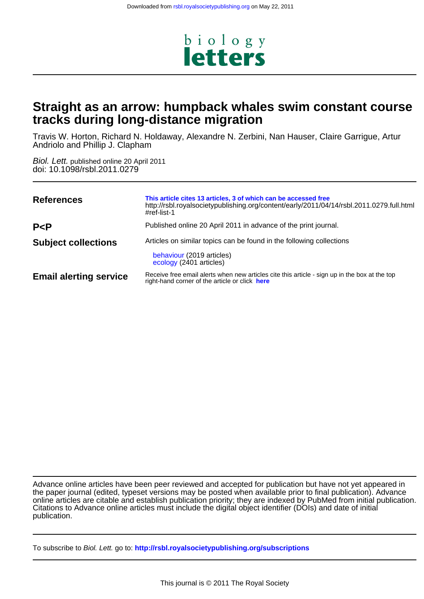

# **tracks during long-distance migration Straight as an arrow: humpback whales swim constant course**

Andriolo and Phillip J. Clapham Travis W. Horton, Richard N. Holdaway, Alexandre N. Zerbini, Nan Hauser, Claire Garrigue, Artur

doi: 10.1098/rsbl.2011.0279 Biol. Lett. published online 20 April 2011

| <b>References</b>             | This article cites 13 articles, 3 of which can be accessed free<br>http://rsbl.royalsocietypublishing.org/content/early/2011/04/14/rsbl.2011.0279.full.html<br>$\#ref-list-1$ |
|-------------------------------|-------------------------------------------------------------------------------------------------------------------------------------------------------------------------------|
| P < P                         | Published online 20 April 2011 in advance of the print journal.                                                                                                               |
| <b>Subject collections</b>    | Articles on similar topics can be found in the following collections<br>behaviour (2019 articles)<br>ecology (2401 articles)                                                  |
| <b>Email alerting service</b> | Receive free email alerts when new articles cite this article - sign up in the box at the top<br>right-hand corner of the article or click here                               |

publication. Citations to Advance online articles must include the digital object identifier (DOIs) and date of initial online articles are citable and establish publication priority; they are indexed by PubMed from initial publication. the paper journal (edited, typeset versions may be posted when available prior to final publication). Advance Advance online articles have been peer reviewed and accepted for publication but have not yet appeared in

To subscribe to Biol. Lett. go to: **<http://rsbl.royalsocietypublishing.org/subscriptions>**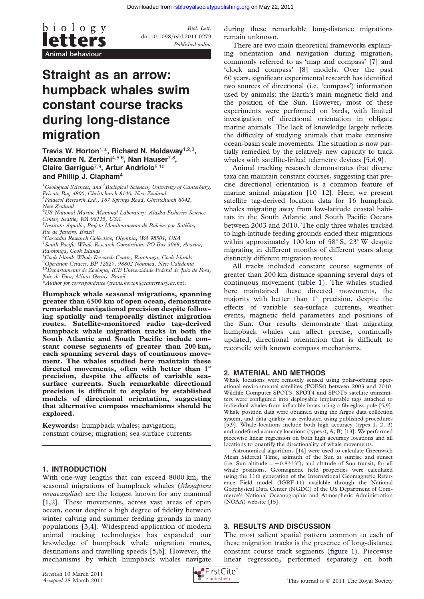

Biol. Lett. doi:10.1098/rsbl.2011.0279 Published online

# Straight as an arrow: humpback whales swim constant course tracks during long-distance migration

## Travis W. Horton<sup>1,\*</sup>, Richard N. Holdaway<sup>1,2,3</sup>, Alexandre N. Zerbini<sup>4,5,6</sup>, Nan Hauser<sup>7,8</sup>, Claire Garrigue<sup>7,9</sup>, Artur Andriolo<sup>5,10</sup> and Phillip J. Clapham<sup>4</sup>

<sup>1</sup>Geological Sciences, and <sup>2</sup>Biological Sciences, University of Canterbury, Private Bag 4800, Christchurch 8140, New Zealand

<sup>3</sup> Palaecol Research Ltd., 167 Springs Road, Christchurch 8042, New Zealand

- 4 US National Marine Mammal Laboratory, Alaska Fisheries Science Center, Seattle, WA 98115, USA
- <sup>5</sup>Instituto Aqualie, Projeto Monitoramento de Baleias por Satélite, Rio de Janeiro, Brazil

6 Cascadia Research Collective, Olympia, WA 98501, USA

7 South Pacific Whale Research Consortium, PO Box 3069, Avarua, Rarotonga, Cook Islands

8 Cook Islands Whale Research Centre, Rarotonga, Cook Islands

9 Operation Cetaces, BP 12827, 98802 Noumea, New Caledonia

10 Departamento de Zoologia, ICB Universidade Federal de Juiz de Fora, Juiz de Fora, Minas Gerais, Brazil

\*Author for correspondence ([travis.horton@canterbury.ac.nz](mailto:travis.horton@canterbury.ac.nz)).

Humpback whale seasonal migrations, spanning greater than 6500 km of open ocean, demonstrate remarkable navigational precision despite following spatially and temporally distinct migration routes. Satellite-monitored radio tag-derived humpback whale migration tracks in both the South Atlantic and South Pacific include constant course segments of greater than 200 km, each spanning several days of continuous movement. The whales studied here maintain these directed movements, often with better than 1° precision, despite the effects of variable seasurface currents. Such remarkable directional precision is difficult to explain by established models of directional orientation, suggesting that alternative compass mechanisms should be explored.

Keywords: humpback whales; navigation; constant course; migration; sea-surface currents

### 1. INTRODUCTION

With one-way lengths that can exceed 8000 km, the seasonal migrations of humpback whales (Megaptera novaeangliae) are the longest known for any mammal [\[1,2](#page-5-0)]. These movements, across vast areas of open ocean, occur despite a high degree of fidelity between winter calving and summer feeding grounds in many populations [\[3,4](#page-5-0)]. Widespread application of modern animal tracking technologies has expanded our knowledge of humpback whale migration routes, destinations and travelling speeds [[5,6\]](#page-5-0). However, the mechanisms by which humpback whales navigate lines<br>  $\text{Received 10 March 2011}$ 

during these remarkable long-distance migrations remain unknown.

There are two main theoretical frameworks explaining orientation and navigation during migration, commonly referred to as 'map and compass' [\[7\]](#page-5-0) and 'clock and compass' [[8](#page-5-0)] models. Over the past 60 years, significant experimental research has identified two sources of directional (i.e. 'compass') information used by animals: the Earth's main magnetic field and the position of the Sun. However, most of these experiments were performed on birds, with limited investigation of directional orientation in obligate marine animals. The lack of knowledge largely reflects the difficulty of studying animals that make extensive ocean-basin scale movements. The situation is now partially remedied by the relatively new capacity to track whales with satellite-linked telemetry devices [\[5,6,9\]](#page-5-0).

Animal tracking research demonstrates that diverse taxa can maintain constant courses, suggesting that precise directional orientation is a common feature of marine animal migration [[10](#page-6-0)–[12](#page-6-0)]. Here, we present satellite tag-derived location data for 16 humpback whales migrating away from low-latitude coastal habitats in the South Atlantic and South Pacific Oceans between 2003 and 2010. The only three whales tracked to high-latitude feeding grounds ended their migrations within approximately 100 km of  $58^{\circ}$  S,  $23^{\circ}$  W despite migrating in different months of different years along distinctly different migration routes.

All tracks included constant course segments of greater than 200 km distance spanning several days of continuous movement ([table 1\)](#page-2-0). The whales studied here maintained these directed movements, the majority with better than  $1^\circ$  precision, despite the effects of variable sea-surface currents, weather events, magnetic field parameters and positions of the Sun. Our results demonstrate that migrating humpback whales can affect precise, continually updated, directional orientation that is difficult to reconcile with known compass mechanisms.

#### 2. MATERIAL AND METHODS

Whale locations were remotely sensed using polar-orbiting operational environmental satellites (POESs) between 2003 and 2010. Wildlife Computer SPOT3, SPOT4 and SPOT5 satellite transmitters were configured into deployable implantable tags attached to individual whales from inflatable boats using a fibreglass pole [\[5](#page-5-0),[9](#page-5-0)]. Whale position data were obtained using the Argos data collection system, and data quality was evaluated using published procedures [[5,9\]](#page-5-0). Whale locations include both high accuracy (types 1, 2, 3) and undefined accuracy locations (types 0, A, B) [\[13](#page-6-0)]. We performed piecewise linear regression on both high accuracy locations and all locations to quantify the directionality of whale movements.

Astronomical algorithms [\[14](#page-6-0)] were used to calculate Greenwich Mean Sidereal Time, azimuth of the Sun at sunrise and sunset (i.e. Sun altitude  $= -0.8333^{\circ}$ ), and altitude of Sun transit, for all whale positions. Geomagnetic field properties were calculated using the 11th generation of the International Geomagnetic Reference Field model (IGRF-11) available through the National Geophysical Data Center (NGDC) of the US Department of Commerce's National Oceanographic and Atmospheric Administration (NOAA) website [\[15\]](#page-6-0).

### 3. RESULTS AND DISCUSSION

The most salient spatial pattern common to each of these migration tracks is the presence of long-distance constant course track segments [\(figure 1\)](#page-4-0). Piecewise linear regression, performed separately on both

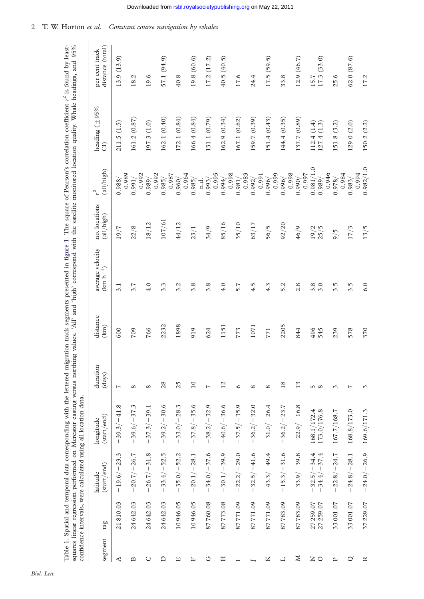| n track segments presented in figure 1. The square of Pearson's correlation coefficient r' is found by least | ning values. 'All' and 'high' correspond with the satellite monitored location quality. Whale headings, and 95% |                                                                |
|--------------------------------------------------------------------------------------------------------------|-----------------------------------------------------------------------------------------------------------------|----------------------------------------------------------------|
|                                                                                                              |                                                                                                                 |                                                                |
| gration track                                                                                                |                                                                                                                 |                                                                |
|                                                                                                              |                                                                                                                 |                                                                |
|                                                                                                              |                                                                                                                 |                                                                |
|                                                                                                              |                                                                                                                 |                                                                |
|                                                                                                              |                                                                                                                 |                                                                |
|                                                                                                              |                                                                                                                 |                                                                |
|                                                                                                              |                                                                                                                 |                                                                |
|                                                                                                              |                                                                                                                 |                                                                |
|                                                                                                              |                                                                                                                 |                                                                |
|                                                                                                              |                                                                                                                 |                                                                |
|                                                                                                              |                                                                                                                 |                                                                |
|                                                                                                              |                                                                                                                 |                                                                |
|                                                                                                              |                                                                                                                 |                                                                |
|                                                                                                              |                                                                                                                 |                                                                |
|                                                                                                              |                                                                                                                 |                                                                |
|                                                                                                              |                                                                                                                 |                                                                |
|                                                                                                              |                                                                                                                 |                                                                |
| 1. Spatial and temporal data corresponding with the lett                                                     |                                                                                                                 |                                                                |
| able 1                                                                                                       | squares linear regression performed on Mercator easting versus north                                            |                                                                |
|                                                                                                              |                                                                                                                 | confidence intervals, were calculated using all location data. |

|                     |                        |                                | confidence intervals, were calculated using all location data |                    |                   |                                   |                             |                              |                           |                                    |
|---------------------|------------------------|--------------------------------|---------------------------------------------------------------|--------------------|-------------------|-----------------------------------|-----------------------------|------------------------------|---------------------------|------------------------------------|
| segment             | $\frac{1}{2}$          | (start/end)<br>latitude        | $(\text{start}/\text{end})$<br>longitude                      | duration<br>(days) | distance<br>(lam) | average velocity<br>$(km h^{-1})$ | no. locations<br>(all/high) | (all/high)<br>ૡ              | heading $(\pm 95\%$<br>G) | distance (total)<br>per cent track |
| ⋖                   | 21810.03               | $-19.6/-23.3$                  | $-39.3/-41.8$                                                 | $\overline{ }$     | 600               | 3.1                               | 19/7                        | 0.989<br>0.988/              | 211.5(1.5)                | 13.9(13.9)                         |
| ≏                   | 24 642.03              | $-20.7/-26.7$                  | $-39.6/-37.3$                                                 | $\infty$           | 709               | 3.7                               | 22/8                        | 0.992<br>0.991/              | 161.2 (0.87)              | 18.2                               |
| O                   | 24 642.03              | $-26.7/-31.8$                  | $-37.3/-39.1$                                                 | ${}^{\circ}$       | 766               | 4.0                               | 18/12                       | 0.992<br>0.989/              | 197.3(1.0)                | 19.6                               |
| ≏                   | 24 642.03              | $-33.4/-52.5$                  | $-39.2/-30.6$                                                 | 28                 | 2232              | 3.3                               | 107/61                      | 0.987<br>0.985/              | 162.1 (0.40)              | 57.1 (94.9)                        |
| 凹                   | 10946.05               | $35.0 / -52.2$<br>$\mathbf{I}$ | $-33.0 - 28.3$                                                | 25                 | 1898              | 3.2                               | 44/12                       | 0.964<br>0.960/              | 172.1(0.84)               | 40.8                               |
| 匡                   | 10946.05               | $20.1/-28.1$<br>$\mathbf{I}$   | $-37.8/-35.6$                                                 | 10                 | 919               | 3.8                               | 23/1                        | 0.985/                       | 166.4(0.84)               | 19.8(60.6)                         |
| O                   | 87760.08               | $-34.0/-37.6$                  | $-38.2/-32.9$                                                 | $\overline{ }$     | 624               | 3.8                               | 34/9                        | 0.995<br>0.993/<br>n.d.      | 131.1 (0.79)              | 17.2(17.2)                         |
| Η                   | 87773.08               | $30.1/-39.9$                   | $-40.6/-36.6$                                                 | 12                 | 1151              | 4.0                               | 85/16                       | 0.998<br>0.994/              | 162.9(0.34)               | 40.5 (40.5)                        |
|                     | 87771.09               | $-22.2/-29.0$                  | $-37.5/-35.9$                                                 | $\circ$            | 773               | 5.7                               | 35/10                       | 0.981/                       | 167.1 (0.62)              | 17.6                               |
|                     | 87771.09               | $-32.5/-41.6$                  | $-36.2/-32.0$                                                 | ${}^{\circ}$       | 1071              | 4.5                               | 63/17                       | 0.983<br>0.992/              | 159.7 (0.39)              | 24.4                               |
|                     | 87771.09               | $-43.3/-49.4$                  | $-31.0/-26.4$                                                 | ${}^{\circ}$       | 771               | 4.3                               | 56/5                        | 0.991<br>0.996/              | 151.4(0.43)               | 17.5(59.5)                         |
|                     | 87783.09               | $-15.3/-31.6$                  | $-36.2/-23.7$                                                 | 18                 | 2205              | 5.2                               | 92/20                       | 0.999<br>0.998<br>0.996/     | 144.4 (0.35)              | 33.8                               |
| $\geq$              | 87783.09               | $-33.9/-39.8$                  | $-22.9/-16.8$                                                 | 13                 | 844               | 2.8                               | 46/9                        | 0.990/                       | 137.7 (0.89)              | 12.9(46.7)                         |
| $Z^{\circ}$         | 27 259.07<br>27 259.07 | $-32.5/-34.4$<br>$34.4/-37.4$  | 168.1/172.4<br>173.0/176.8                                    | 500                | 496<br>545        | 3.8<br>3.0                        | 19/2<br>25/5                | 0.981/1.0<br>0.997<br>0.989/ | $112.4(1.4)$ $127.4(1.3)$ | (33.0)<br>17.3<br>15.7             |
| $\sim$              | 33 001.07              | $22.8/-24.7$<br>$\overline{1}$ | 167.7/168.7                                                   | 3                  | 239               | 3.5                               | 9/5                         | 0.946<br>0.978/              | 51.8(3.2)                 | 25.6                               |
| $\circlearrowright$ | 33 001.07              | $24.8/-28.1$<br>$\mathbf{I}$   | 168.8/173.0                                                   | $\overline{ }$     | 578               | 3.5                               | 17/3                        | 0.984<br>0.994<br>0.983/     | 129.0(2.0)                | 62.0(87.6)                         |
| $\approx$           | 37 229.07              | $-24.0/-26.9$                  | 169.6/171.3                                                   | 3                  | 370               | 6.0                               | 13/5                        | 0.982/1.0                    | 150.2(2.2)                | 17.2                               |
|                     |                        |                                |                                                               |                    |                   |                                   |                             |                              |                           |                                    |

<span id="page-2-0"></span>2 T. W. Horton et al. Constant course navigation by whales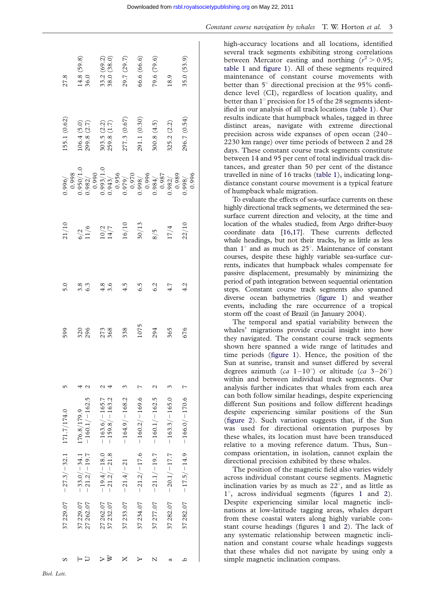| 27.8          | $14.8(59.8)$<br>36.0           | $33.2(69.2)$<br>$38.0(38.0)$ |                     | 29.7 (29.7)     | 66.6 (66.6)     | 79.6 (79.6)                                                                                                                                                                                                                                                   | 18.9            | 35.0 (53.9)     |
|---------------|--------------------------------|------------------------------|---------------------|-----------------|-----------------|---------------------------------------------------------------------------------------------------------------------------------------------------------------------------------------------------------------------------------------------------------------|-----------------|-----------------|
| (55.1(0.62)   | $106.4(5.0)$<br>299.8 $(2.7)$  | 303.5 (2.2)<br>259.8 (1.7)   |                     | 277.3 (0.67)    | 291.1 (0.30)    | (4.5)                                                                                                                                                                                                                                                         | 325.2 (2.2)     | 296.7 (0.54)    |
|               |                                |                              |                     |                 |                 | $\begin{smallmatrix} 0.996/0.996/0.998 & 0.9988 \ 0.9950/1.0 & 0.997/1.0 & 0.997/1.0 & 0.993/1.0 & 0.993/1.0 & 0.993/1.0 & 0.993/1.0 & 0.993/1.0 & 0.993/1.0 & 0.993/1.0 & 0.993/1.0 & 0.993/1.0 & 0.993/1.0 & 0.993/1.0 & 0.993/1.0 & 0.993/1.0 & 0.993/1.0$ |                 |                 |
| 21/10         | $\frac{2}{11/6}$               |                              | $\frac{10/2}{14/7}$ | $16/10$         | $30/13$         | 8/5                                                                                                                                                                                                                                                           | $17/4$          | 22/10           |
| 5.0           | $3.\overline{8}$<br>6.3        | 4.8<br>3.6                   |                     | 4.5             | 6.5             | 6.2                                                                                                                                                                                                                                                           | 4.7             | 4.2             |
| 599           | 320<br>296                     | 273<br>368                   |                     | 338             | 1075            | 294                                                                                                                                                                                                                                                           | 365             | 676             |
|               |                                |                              |                     |                 |                 | $\mathcal{C}$                                                                                                                                                                                                                                                 |                 |                 |
| 171.7/174.0   | $-160.1/-162.5$<br>176.8/179.9 | $-163.6/-165.7$              | $-159.8/-163.2$     | $-164.9/-168.2$ | $-160.2/-169.6$ | $-160.1/-162.5$                                                                                                                                                                                                                                               | $-163.3/-165.0$ | $-166.0/-170.6$ |
| $-27.3/-32.1$ | $-33.0/-34.1$<br>$-21.2/-19.7$ | $-19.4/-18.0$                | $-21.2/-21.8$       | $-21.4/-21$     | $-21.2/-17.6$   | $-21.1/-19.7$                                                                                                                                                                                                                                                 | $-20.1/-17.7$   | $-17.5/-14.9$   |
| 37 229.07     | 37 229.07<br>27 262.07         | 27262.07                     | 37 232.07           | 37 233.07       | 37234.07        | 37 277.07                                                                                                                                                                                                                                                     | 37 282.07       | 37 282.07       |
|               |                                |                              |                     |                 |                 |                                                                                                                                                                                                                                                               |                 |                 |

between Mercator easting and northing  $(r^2 > 0.95;$ [table 1](#page-2-0) and [figure 1](#page-4-0)). All of these segments required maintenance of constant course movements with better than  $5^\circ$  directional precision at the 95% confidence level (CI), regardless of location quality, and better than  $1^\circ$  precision for 15 of the 28 segments identified in our analysis of all track locations ([table 1](#page-2-0)). Our results indicate that humpback whales, tagged in three distinct areas, navigate with extreme directional precision across wide expanses of open ocean (240 – 2230 km range) over time periods of between 2 and 28 days. These constant course track segments constitute between 14 and 95 per cent of total individual track distances, and greater than 50 per cent of the distance travelled in nine of 16 tracks [\(table 1\)](#page-2-0), indicating longdistance constant course movement is a typical feature of humpback whale migration. To evaluate the effects of sea-surface currents on these highly directional track segments, we determined the sea-

high-accuracy locations and all locations, identified several track segments exhibiting strong correlations

Constant course navigation by whales T. W. Horton et al. 3

surface current direction and velocity, at the time and location of the whales studied, from Argo drifter-buoy coordinate data [\[16,17\]](#page-6-0). These currents deflected whale headings, but not their tracks, by as little as less than  $1^\circ$  and as much as  $25^\circ$ . Maintenance of constant courses, despite these highly variable sea-surface currents, indicates that humpback whales compensate for passive displacement, presumably by minimizing the period of path integration between sequential orientation steps. Constant course track segments also spanned diverse ocean bathymetries [\(figure 1](#page-4-0)) and weather events, including the rare occurrence of a tropical storm off the coast of Brazil (in January 2004).

The temporal and spatial variability between the whales' migrations provide crucial insight into how they navigated. The constant course track segments shown here spanned a wide range of latitudes and time periods [\(figure 1](#page-4-0)). Hence, the position of the Sun at sunrise, transit and sunset differed by several degrees azimuth (ca  $1-10^{\circ}$ ) or altitude (ca  $3-26^{\circ}$ ) within and between individual track segments. Our analysis further indicates that whales from each area can both follow similar headings, despite experiencing different Sun positions and follow different headings despite experiencing similar positions of the Sun [\(figure 2\)](#page-5-0). Such variation suggests that, if the Sun was used for directional orientation purposes by these whales, its location must have been transduced relative to a moving reference datum. Thus, Sun– compass orientation, in isolation, cannot explain the directional precision exhibited by these whales.

The position of the magnetic field also varies widely across individual constant course segments. Magnetic inclination varies by as much as  $22^{\circ}$ , and as little as [1](#page-4-0)°, across individual segments (figures 1 and [2\)](#page-5-0). Despite experiencing similar local magnetic inclinations at low-latitude tagging areas, whales depart from these coastal waters along highly variable constant course headings (figures [1](#page-4-0) and [2](#page-5-0)). The lack of any systematic relationship between magnetic inclination and constant course whale headings suggests that these whales did not navigate by using only a simple magnetic inclination compass.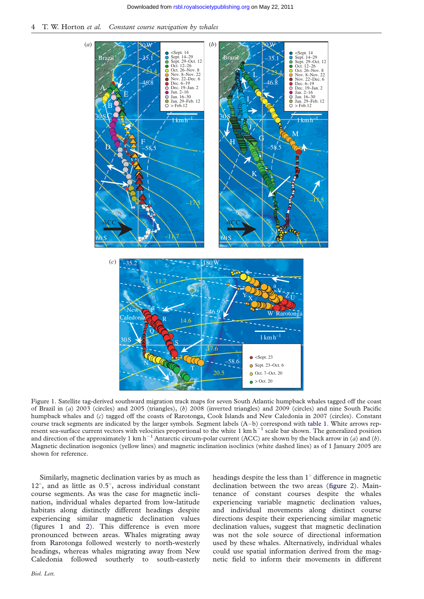<span id="page-4-0"></span>4 T. W. Horton et al. Constant course navigation by whales



Figure 1. Satellite tag-derived southward migration track maps for seven South Atlantic humpback whales tagged off the coast of Brazil in (a) 2003 (circles) and 2005 (triangles), (b) 2008 (inverted triangles) and 2009 (circles) and nine South Pacific humpback whales and (c) tagged off the coasts of Rarotonga, Cook Islands and New Caledonia in 2007 (circles). Constant course track segments are indicated by the larger symbols. Segment labels (A –b) correspond with [table 1](#page-2-0). White arrows represent sea-surface current vectors with velocities proportional to the white  $1 \text{ km h}^{-1}$  scale bar shown. The generalized position and direction of the approximately 1 km h<sup>-1</sup> Antarctic circum-polar current (ACC) are shown by the black arrow in (a) and (b). Magnetic declination isogonics (yellow lines) and magnetic inclination isoclinics (white dashed lines) as of 1 January 2005 are shown for reference.

Similarly, magnetic declination varies by as much as  $12^{\circ}$ , and as little as  $0.5^{\circ}$ , across individual constant course segments. As was the case for magnetic inclination, individual whales departed from low-latitude habitats along distinctly different headings despite experiencing similar magnetic declination values (figures 1 and [2\)](#page-5-0). This difference is even more pronounced between areas. Whales migrating away from Rarotonga followed westerly to north-westerly headings, whereas whales migrating away from New Caledonia followed southerly to south-easterly headings despite the less than  $1^\circ$  difference in magnetic declination between the two areas ([figure 2](#page-5-0)). Maintenance of constant courses despite the whales experiencing variable magnetic declination values, and individual movements along distinct course directions despite their experiencing similar magnetic declination values, suggest that magnetic declination was not the sole source of directional information used by these whales. Alternatively, individual whales could use spatial information derived from the magnetic field to inform their movements in different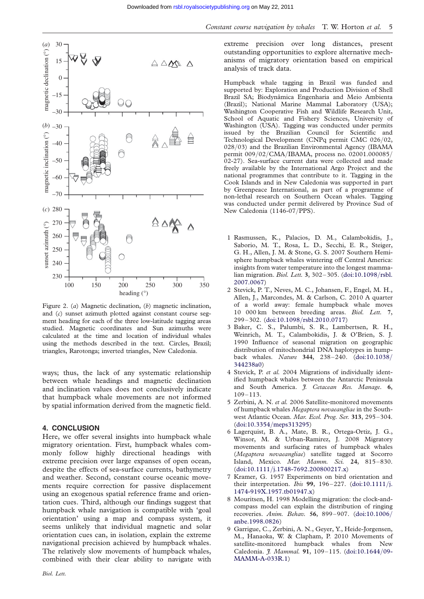<span id="page-5-0"></span>

Figure 2. (a) Magnetic declination, (b) magnetic inclination, and (c) sunset azimuth plotted against constant course segment heading for each of the three low-latitude tagging areas studied. Magnetic coordinates and Sun azimuths were calculated at the time and location of individual whales using the methods described in the text. Circles, Brazil; triangles, Rarotonga; inverted triangles, New Caledonia.

ways; thus, the lack of any systematic relationship between whale headings and magnetic declination and inclination values does not conclusively indicate that humpback whale movements are not informed by spatial information derived from the magnetic field.

#### 4. CONCLUSION

Here, we offer several insights into humpback whale migratory orientation. First, humpback whales commonly follow highly directional headings with extreme precision over large expanses of open ocean, despite the effects of sea-surface currents, bathymetry and weather. Second, constant course oceanic movements require correction for passive displacement using an exogenous spatial reference frame and orientation cues. Third, although our findings suggest that humpback whale navigation is compatible with 'goal orientation' using a map and compass system, it seems unlikely that individual magnetic and solar orientation cues can, in isolation, explain the extreme navigational precision achieved by humpback whales. The relatively slow movements of humpback whales, combined with their clear ability to navigate with extreme precision over long distances, present outstanding opportunities to explore alternative mechanisms of migratory orientation based on empirical analysis of track data.

Humpback whale tagging in Brazil was funded and supported by: Exploration and Production Division of Shell Brazil SA; Biodynâmica Engenharia and Meio Ambienta (Brazil); National Marine Mammal Laboratory (USA); Washington Cooperative Fish and Wildlife Research Unit, School of Aquatic and Fishery Sciences, University of Washington (USA). Tagging was conducted under permits issued by the Brazilian Council for Scientific and Technological Development (CNPq permit CMC 026/02, 028/03) and the Brazilian Environmental Agency (IBAMA permit 009/02/CMA/IBAMA, process no. 02001.000085/ 02-27). Sea-surface current data were collected and made freely available by the International Argo Project and the national programmes that contribute to it. Tagging in the Cook Islands and in New Caledonia was supported in part by Greenpeace International, as part of a programme of non-lethal research on Southern Ocean whales. Tagging was conducted under permit delivered by Province Sud of New Caledonia (1146-07/PPS).

- 1 Rasmussen, K., Palacios, D. M., Calambokidis, J., Saborio, M. T., Rosa, L. D., Secchi, E. R., Steiger, G. H., Allen, J. M. & Stone, G. S. 2007 Southern Hemisphere humpback whales wintering off Central America: insights from water temperature into the longest mammalian migration. Biol. Lett. 3, 302 –305. [\(doi:10.1098](http://dx.doi.org/10.1098/rsbl.2007.0067)/rsbl. [2007.0067\)](http://dx.doi.org/10.1098/rsbl.2007.0067)
- 2 Stevick, P. T., Neves, M. C., Johansen, F., Engel, M. H., Allen, J., Marcondes, M. & Carlson, C. 2010 A quarter of a world away: female humpback whale moves 10 000 km between breeding areas. Biol. Lett. 7, 299 –302. (doi:10.1098/[rsbl.2010.0717](http://dx.doi.org/10.1098/rsbl.2010.0717))
- 3 Baker, C. S., Palumbi, S. R., Lambertsen, R. H., Weinrich, M. T., Calambokidis, J. & O'Brien, S. J. 1990 Influence of seasonal migration on geographic distribution of mitochondrial DNA haplotypes in humpback whales. Nature 344, 238-240. ([doi:10.1038](http://dx.doi.org/10.1038/344238a0)/ [344238a0\)](http://dx.doi.org/10.1038/344238a0)
- 4 Stevick, P. et al. 2004 Migrations of individually identified humpback whales between the Antarctic Peninsula and South America. J. Cetacean Res. Manage. 6, 109 –113.
- 5 Zerbini, A. N. et al. 2006 Satellite-monitored movements of humpback whales Megaptera novaeangliae in the Southwest Atlantic Ocean. Mar. Ecol. Prog. Ser. 313, 295–304. (doi:10.3354/[meps313295](http://dx.doi.org/10.3354/meps313295))
- 6 Lagerquist, B. A., Mate, B. R., Ortega-Ortiz, J. G., Winsor, M. & Urban-Ramirez, J. 2008 Migratory movements and surfacing rates of humpback whales (Megaptera novaeangliae) satellite tagged at Socorro Island, Mexico. Mar. Mamm. Sci. 24, 815-830. (doi:10.1111/[j.1748-7692.200800217.x](http://dx.doi.org/10.1111/j.1748-7692.200800217.x))
- 7 Kramer, G. 1957 Experiments on bird orientation and their interpretation. Ibis 99, 196–227. ([doi:10.1111](http://dx.doi.org/10.1111/j.1474-919X.1957.tb01947.x)/j. [1474-919X.1957.tb01947.x\)](http://dx.doi.org/10.1111/j.1474-919X.1957.tb01947.x)
- 8 Mouritsen, H. 1998 Modelling migration: the clock-andcompass model can explain the distribution of ringing recoveries. Anim. Behav. 56, 899 –907. ([doi:10.1006](http://dx.doi.org/10.1006/anbe.1998.0826)/ [anbe.1998.0826](http://dx.doi.org/10.1006/anbe.1998.0826))
- 9 Garrigue, C., Zerbini, A. N., Geyer, Y., Heide-Jorgensen, M., Hanaoka, W. & Clapham, P. 2010 Movements of satellite-monitored humpback whales from New Caledonia. *J. Mammal.* 91, 109-115. [\(doi:10.1644](http://dx.doi.org/10.1644/09-MAMM-A-033R.1)/09-[MAMM-A-033R.1](http://dx.doi.org/10.1644/09-MAMM-A-033R.1))